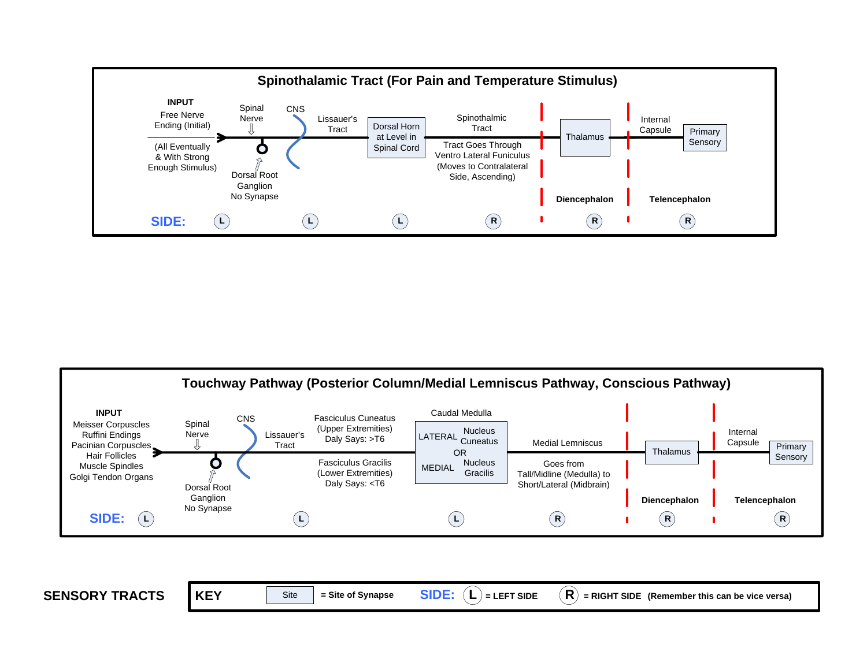



**SENSORY TRACTSKEY** Site  $=$  Site of Synapse **SIDE:**  $(L) = L$ **EFT SIDE**  $(R) = R$ **IGHT SIDE** (Remember this can be vice versa)